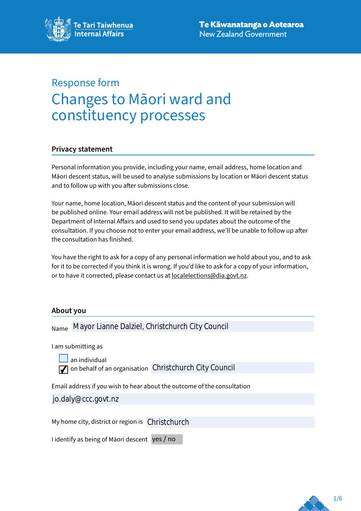# Response form Changes to Māori ward and constituency processes

# **Privacy statement**

Personal information you provide, including your name, email address, home location and Māori descent status, will be used to analyse submissions by location or Māori descent status and to follow up with you after submissions close.

Your name, home location, Māori descent status and the content of your submission will be published online. Your email address will not be published. It will be retained by the Department of Internal Affairs and used to send you updates about the outcome of the consultation. If you choose not to enter your email address, we'll be unable to follow up after the consultation has finished.

You have the right to ask for a copy of any personal information we hold about you, and to ask for it to be corrected if you think it is wrong. If you'd like to ask for a copy of your information, or to have it corrected, please contact us at [localelections@dia.govt.nz](mailto:localelections%40dia.govt.nz?subject=Response%20form%20-%20Changes%20to%20M%C4%81ori%20ward%20and%20constituency%20processes).

# **About you**

Name Mayor Lianne Dalziel, Christchurch City Council

I am submitting as

an individual on behalf of an organisation Christchurch City Council

Email address if you wish to hear about the outcome of the consultation

jo.daly@ccc.govt.nz

My home city, district or region is Christchurch

I identify as being of Māori descent yes / no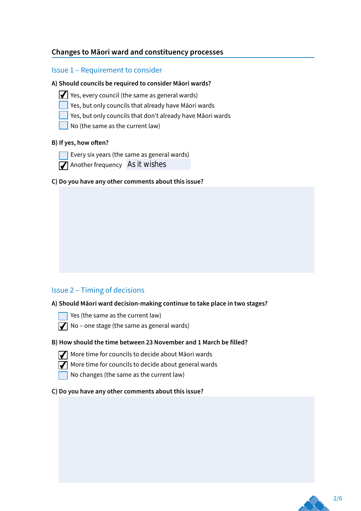# **Changes to Māori ward and constituency processes**

# Issue 1 – Requirement to consider

#### **A) Should councils be required to consider Māori wards?**

- $\blacktriangleright$  Yes, every council (the same as general wards)
	- Yes, but only councils that already have Māori wards
	- $\Box$  Yes, but only councils that don't already have Māori wards
	- No (the same as the current law)

## **B) If yes, how often?**

- Every six years (the same as general wards)
	- Another frequency As it wishes
- **C) Do you have any other comments about this issue?**

# Issue 2 – Timing of decisions

#### **A) Should Māori ward decision-making continue to take place in two stages?**

Yes (the same as the current law)

 $\sqrt{\phantom{a}}$  No – one stage (the same as general wards)

#### **B) How should the time between 23 November and 1 March be filled?**



 $\sqrt{\frac{1}{\sqrt{\pi}}}$  More time for councils to decide about Māori wards

 $\sqrt{\frac{1}{\sqrt{\pi}}}$  More time for councils to decide about general wards

No changes (the same as the current law)

#### **C) Do you have any other comments about this issue?**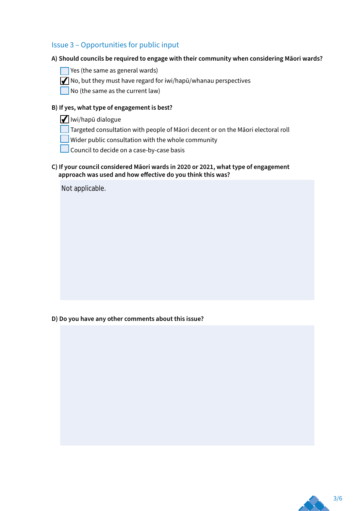# Issue 3 – Opportunities for public input

# **A) Should councils be required to engage with their community when considering Māori wards?**

- $\Box$  Yes (the same as general wards)
- $\sqrt{\frac{1}{\sqrt{\pi}}}$  No, but they must have regard for iwi/hapū/whanau perspectives
- No (the same as the current law)

# **B) If yes, what type of engagement is best?**

- $\sqrt{\frac{1}{1}}$ lwi/hapū dialogue
- Targeted consultation with people of Māori decent or on the Māori electoral roll
- **Wider public consultation with the whole community**
- Council to decide on a case-by-case basis

## **C) If your council considered Māori wards in 2020 or 2021, what type of engagement approach was used and how effective do you think this was?**

Not applicable.

**D) Do you have any other comments about this issue?** 

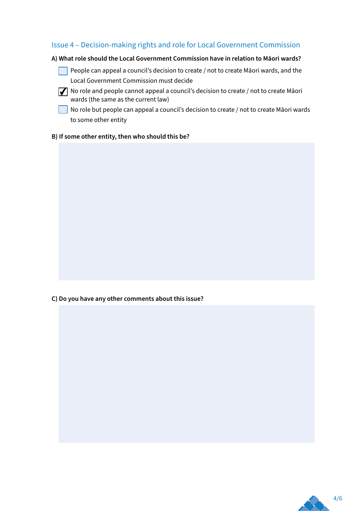# Issue 4 – Decision-making rights and role for Local Government Commission

## **A) What role should the Local Government Commission have in relation to Māori wards?**

People can appeal a council's decision to create / not to create Māori wards, and the Local Government Commission must decide

No role and people cannot appeal a council's decision to create / not to create Māori wards (the same as the current law)

 $\Box$  No role but people can appeal a council's decision to create / not to create Māori wards to some other entity

## **B) If some other entity, then who should this be?**

**C) Do you have any other comments about this issue?** 

4/6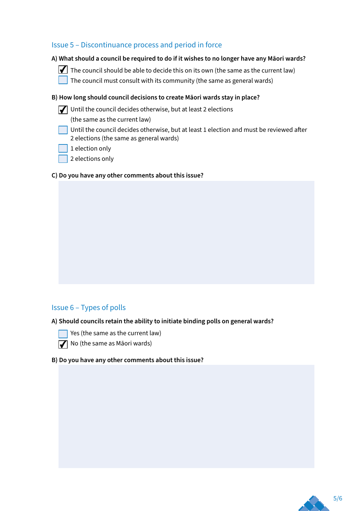# Issue 5 – Discontinuance process and period in force

## **A) What should a council be required to do if it wishes to no longer have any Māori wards?**

- $\Box$  The council should be able to decide this on its own (the same as the current law)
	- The council must consult with its community (the same as general wards)

## **B) How long should council decisions to create Māori wards stay in place?**

 $\sqrt{\frac{1}{\sqrt{\pi}}}$  Until the council decides otherwise, but at least 2 elections

(the same as the current law)

- Until the council decides otherwise, but at least 1 election and must be reviewed after 2 elections (the same as general wards)
- $\vert$  1 election only
- 2 elections only

## **C) Do you have any other comments about this issue?**

# Issue 6 – Types of polls

#### **A) Should councils retain the ability to initiate binding polls on general wards?**

- $\Box$  Yes (the same as the current law)
- No (the same as Māori wards)

#### **B) Do you have any other comments about this issue?**